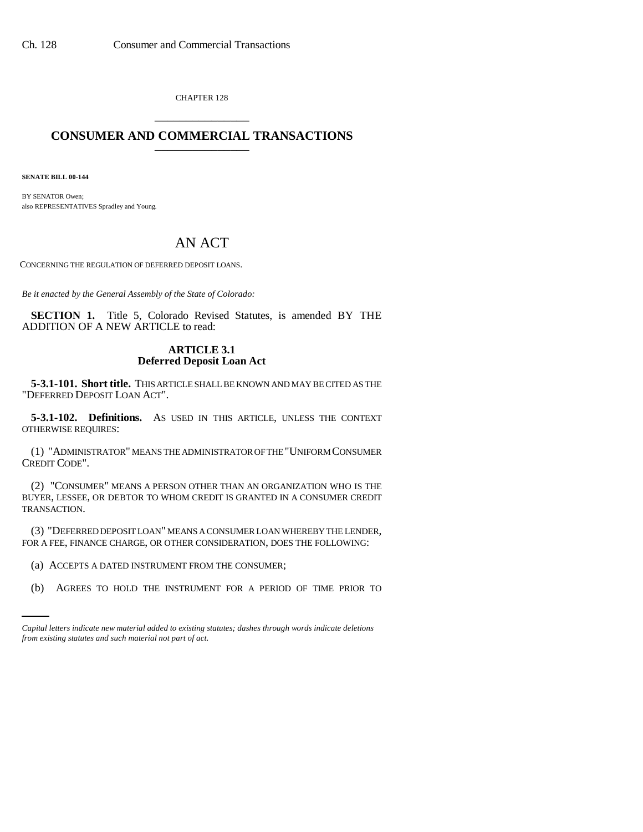CHAPTER 128 \_\_\_\_\_\_\_\_\_\_\_\_\_\_\_

## **CONSUMER AND COMMERCIAL TRANSACTIONS** \_\_\_\_\_\_\_\_\_\_\_\_\_\_\_

**SENATE BILL 00-144** 

BY SENATOR Owen; also REPRESENTATIVES Spradley and Young.

## AN ACT

CONCERNING THE REGULATION OF DEFERRED DEPOSIT LOANS.

*Be it enacted by the General Assembly of the State of Colorado:*

**SECTION 1.** Title 5, Colorado Revised Statutes, is amended BY THE ADDITION OF A NEW ARTICLE to read:

## **ARTICLE 3.1 Deferred Deposit Loan Act**

**5-3.1-101. Short title.** THIS ARTICLE SHALL BE KNOWN AND MAY BE CITED AS THE "DEFERRED DEPOSIT LOAN ACT".

**5-3.1-102. Definitions.** AS USED IN THIS ARTICLE, UNLESS THE CONTEXT OTHERWISE REQUIRES:

(1) "ADMINISTRATOR" MEANS THE ADMINISTRATOR OF THE "UNIFORM CONSUMER CREDIT CODE".

(2) "CONSUMER" MEANS A PERSON OTHER THAN AN ORGANIZATION WHO IS THE BUYER, LESSEE, OR DEBTOR TO WHOM CREDIT IS GRANTED IN A CONSUMER CREDIT TRANSACTION.

(3) "DEFERRED DEPOSIT LOAN" MEANS A CONSUMER LOAN WHEREBY THE LENDER, FOR A FEE, FINANCE CHARGE, OR OTHER CONSIDERATION, DOES THE FOLLOWING:

(a) ACCEPTS A DATED INSTRUMENT FROM THE CONSUMER;

(b) AGREES TO HOLD THE INSTRUMENT FOR A PERIOD OF TIME PRIOR TO

*Capital letters indicate new material added to existing statutes; dashes through words indicate deletions from existing statutes and such material not part of act.*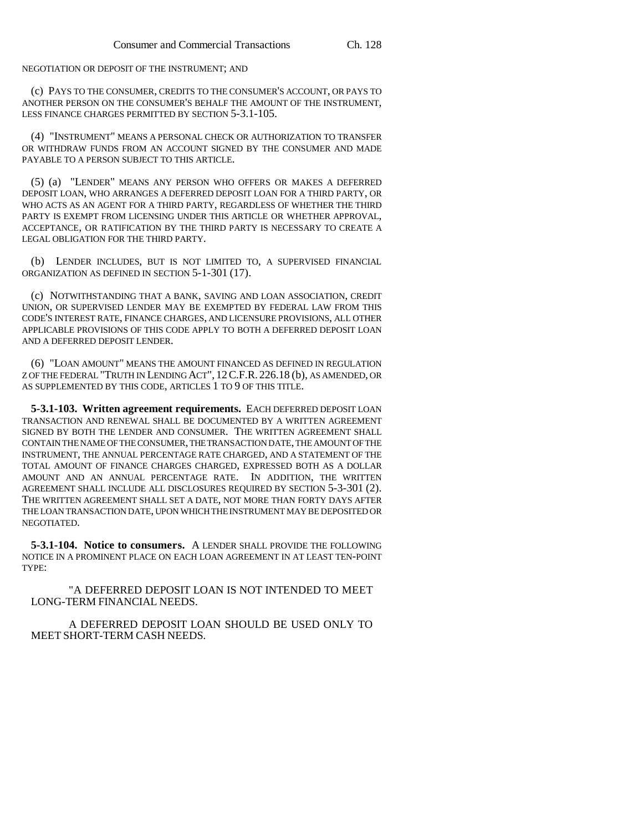NEGOTIATION OR DEPOSIT OF THE INSTRUMENT; AND

(c) PAYS TO THE CONSUMER, CREDITS TO THE CONSUMER'S ACCOUNT, OR PAYS TO ANOTHER PERSON ON THE CONSUMER'S BEHALF THE AMOUNT OF THE INSTRUMENT, LESS FINANCE CHARGES PERMITTED BY SECTION 5-3.1-105.

(4) "INSTRUMENT" MEANS A PERSONAL CHECK OR AUTHORIZATION TO TRANSFER OR WITHDRAW FUNDS FROM AN ACCOUNT SIGNED BY THE CONSUMER AND MADE PAYABLE TO A PERSON SUBJECT TO THIS ARTICLE.

(5) (a) "LENDER" MEANS ANY PERSON WHO OFFERS OR MAKES A DEFERRED DEPOSIT LOAN, WHO ARRANGES A DEFERRED DEPOSIT LOAN FOR A THIRD PARTY, OR WHO ACTS AS AN AGENT FOR A THIRD PARTY, REGARDLESS OF WHETHER THE THIRD PARTY IS EXEMPT FROM LICENSING UNDER THIS ARTICLE OR WHETHER APPROVAL, ACCEPTANCE, OR RATIFICATION BY THE THIRD PARTY IS NECESSARY TO CREATE A LEGAL OBLIGATION FOR THE THIRD PARTY.

(b) LENDER INCLUDES, BUT IS NOT LIMITED TO, A SUPERVISED FINANCIAL ORGANIZATION AS DEFINED IN SECTION 5-1-301 (17).

(c) NOTWITHSTANDING THAT A BANK, SAVING AND LOAN ASSOCIATION, CREDIT UNION, OR SUPERVISED LENDER MAY BE EXEMPTED BY FEDERAL LAW FROM THIS CODE'S INTEREST RATE, FINANCE CHARGES, AND LICENSURE PROVISIONS, ALL OTHER APPLICABLE PROVISIONS OF THIS CODE APPLY TO BOTH A DEFERRED DEPOSIT LOAN AND A DEFERRED DEPOSIT LENDER.

(6) "LOAN AMOUNT" MEANS THE AMOUNT FINANCED AS DEFINED IN REGULATION Z OF THE FEDERAL "TRUTH IN LENDING ACT", 12C.F.R. 226.18 (b), AS AMENDED, OR AS SUPPLEMENTED BY THIS CODE, ARTICLES 1 TO 9 OF THIS TITLE.

**5-3.1-103. Written agreement requirements.** EACH DEFERRED DEPOSIT LOAN TRANSACTION AND RENEWAL SHALL BE DOCUMENTED BY A WRITTEN AGREEMENT SIGNED BY BOTH THE LENDER AND CONSUMER. THE WRITTEN AGREEMENT SHALL CONTAIN THE NAME OF THE CONSUMER, THE TRANSACTION DATE, THE AMOUNT OF THE INSTRUMENT, THE ANNUAL PERCENTAGE RATE CHARGED, AND A STATEMENT OF THE TOTAL AMOUNT OF FINANCE CHARGES CHARGED, EXPRESSED BOTH AS A DOLLAR AMOUNT AND AN ANNUAL PERCENTAGE RATE. IN ADDITION, THE WRITTEN AGREEMENT SHALL INCLUDE ALL DISCLOSURES REQUIRED BY SECTION 5-3-301 (2). THE WRITTEN AGREEMENT SHALL SET A DATE, NOT MORE THAN FORTY DAYS AFTER THE LOAN TRANSACTION DATE, UPON WHICH THE INSTRUMENT MAY BE DEPOSITED OR NEGOTIATED.

**5-3.1-104. Notice to consumers.** A LENDER SHALL PROVIDE THE FOLLOWING NOTICE IN A PROMINENT PLACE ON EACH LOAN AGREEMENT IN AT LEAST TEN-POINT TYPE:

"A DEFERRED DEPOSIT LOAN IS NOT INTENDED TO MEET LONG-TERM FINANCIAL NEEDS.

A DEFERRED DEPOSIT LOAN SHOULD BE USED ONLY TO MEET SHORT-TERM CASH NEEDS.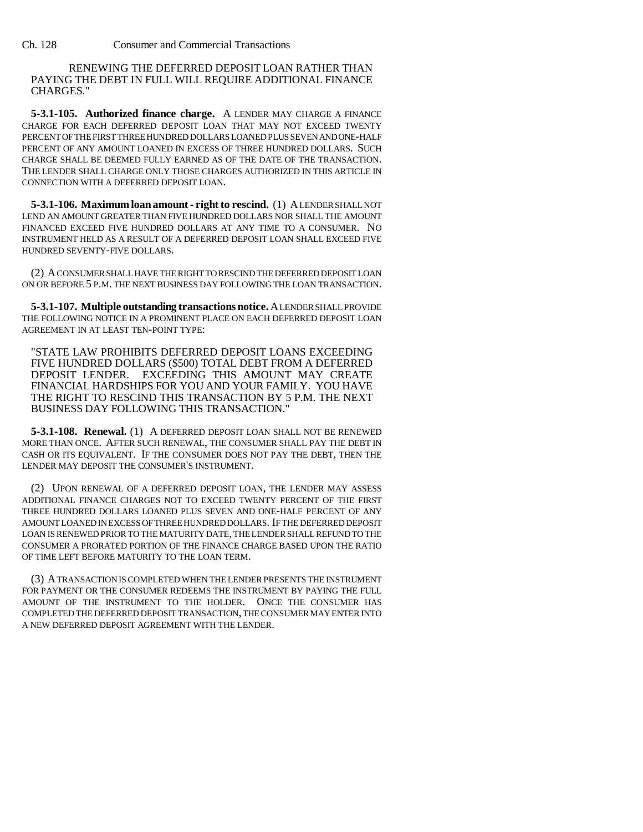RENEWING THE DEFERRED DEPOSIT LOAN RATHER THAN PAYING THE DEBT IN FULL WILL REQUIRE ADDITIONAL FINANCE CHARGES."

**5-3.1-105. Authorized finance charge.** A LENDER MAY CHARGE A FINANCE CHARGE FOR EACH DEFERRED DEPOSIT LOAN THAT MAY NOT EXCEED TWENTY PERCENT OF THE FIRST THREE HUNDRED DOLLARS LOANED PLUS SEVEN AND ONE-HALF PERCENT OF ANY AMOUNT LOANED IN EXCESS OF THREE HUNDRED DOLLARS. SUCH CHARGE SHALL BE DEEMED FULLY EARNED AS OF THE DATE OF THE TRANSACTION. THE LENDER SHALL CHARGE ONLY THOSE CHARGES AUTHORIZED IN THIS ARTICLE IN CONNECTION WITH A DEFERRED DEPOSIT LOAN.

**5-3.1-106. Maximum loan amount - right to rescind.** (1) A LENDER SHALL NOT LEND AN AMOUNT GREATER THAN FIVE HUNDRED DOLLARS NOR SHALL THE AMOUNT FINANCED EXCEED FIVE HUNDRED DOLLARS AT ANY TIME TO A CONSUMER. NO INSTRUMENT HELD AS A RESULT OF A DEFERRED DEPOSIT LOAN SHALL EXCEED FIVE HUNDRED SEVENTY-FIVE DOLLARS.

(2) A CONSUMER SHALL HAVE THE RIGHT TO RESCIND THE DEFERRED DEPOSIT LOAN ON OR BEFORE 5 P.M. THE NEXT BUSINESS DAY FOLLOWING THE LOAN TRANSACTION.

**5-3.1-107. Multiple outstanding transactions notice.** A LENDER SHALL PROVIDE THE FOLLOWING NOTICE IN A PROMINENT PLACE ON EACH DEFERRED DEPOSIT LOAN AGREEMENT IN AT LEAST TEN-POINT TYPE:

"STATE LAW PROHIBITS DEFERRED DEPOSIT LOANS EXCEEDING FIVE HUNDRED DOLLARS (\$500) TOTAL DEBT FROM A DEFERRED DEPOSIT LENDER. EXCEEDING THIS AMOUNT MAY CREATE FINANCIAL HARDSHIPS FOR YOU AND YOUR FAMILY. YOU HAVE THE RIGHT TO RESCIND THIS TRANSACTION BY 5 P.M. THE NEXT BUSINESS DAY FOLLOWING THIS TRANSACTION."

**5-3.1-108. Renewal.** (1) A DEFERRED DEPOSIT LOAN SHALL NOT BE RENEWED MORE THAN ONCE. AFTER SUCH RENEWAL, THE CONSUMER SHALL PAY THE DEBT IN CASH OR ITS EQUIVALENT. IF THE CONSUMER DOES NOT PAY THE DEBT, THEN THE LENDER MAY DEPOSIT THE CONSUMER'S INSTRUMENT.

(2) UPON RENEWAL OF A DEFERRED DEPOSIT LOAN, THE LENDER MAY ASSESS ADDITIONAL FINANCE CHARGES NOT TO EXCEED TWENTY PERCENT OF THE FIRST THREE HUNDRED DOLLARS LOANED PLUS SEVEN AND ONE-HALF PERCENT OF ANY AMOUNT LOANED IN EXCESS OF THREE HUNDRED DOLLARS. IF THE DEFERRED DEPOSIT LOAN IS RENEWED PRIOR TO THE MATURITY DATE, THE LENDER SHALL REFUND TO THE CONSUMER A PRORATED PORTION OF THE FINANCE CHARGE BASED UPON THE RATIO OF TIME LEFT BEFORE MATURITY TO THE LOAN TERM.

(3) A TRANSACTION IS COMPLETED WHEN THE LENDER PRESENTS THE INSTRUMENT FOR PAYMENT OR THE CONSUMER REDEEMS THE INSTRUMENT BY PAYING THE FULL AMOUNT OF THE INSTRUMENT TO THE HOLDER. ONCE THE CONSUMER HAS COMPLETED THE DEFERRED DEPOSIT TRANSACTION, THE CONSUMER MAY ENTER INTO A NEW DEFERRED DEPOSIT AGREEMENT WITH THE LENDER.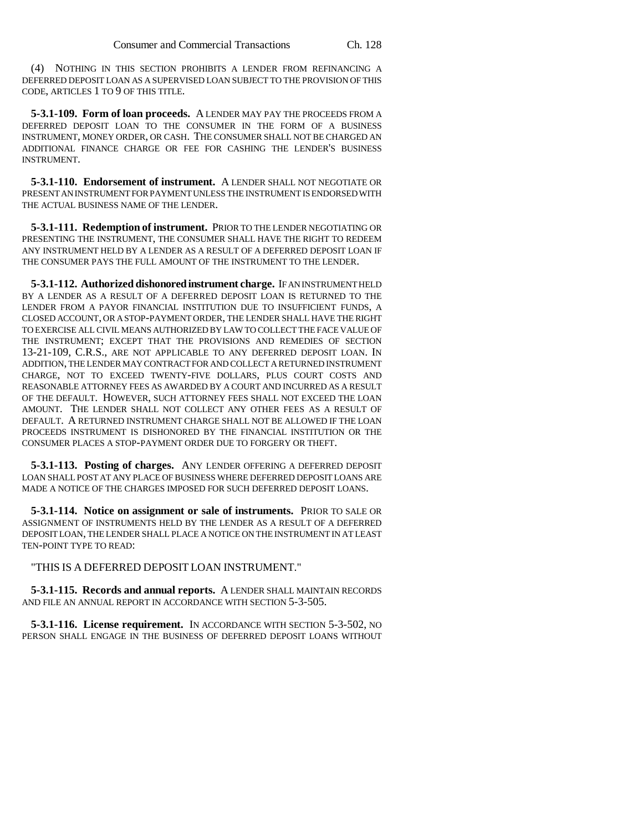(4) NOTHING IN THIS SECTION PROHIBITS A LENDER FROM REFINANCING A DEFERRED DEPOSIT LOAN AS A SUPERVISED LOAN SUBJECT TO THE PROVISION OF THIS CODE, ARTICLES 1 TO 9 OF THIS TITLE.

**5-3.1-109. Form of loan proceeds.** A LENDER MAY PAY THE PROCEEDS FROM A DEFERRED DEPOSIT LOAN TO THE CONSUMER IN THE FORM OF A BUSINESS INSTRUMENT, MONEY ORDER, OR CASH. THE CONSUMER SHALL NOT BE CHARGED AN ADDITIONAL FINANCE CHARGE OR FEE FOR CASHING THE LENDER'S BUSINESS INSTRUMENT.

**5-3.1-110. Endorsement of instrument.** A LENDER SHALL NOT NEGOTIATE OR PRESENT AN INSTRUMENT FOR PAYMENT UNLESS THE INSTRUMENT IS ENDORSED WITH THE ACTUAL BUSINESS NAME OF THE LENDER.

**5-3.1-111. Redemption of instrument.** PRIOR TO THE LENDER NEGOTIATING OR PRESENTING THE INSTRUMENT, THE CONSUMER SHALL HAVE THE RIGHT TO REDEEM ANY INSTRUMENT HELD BY A LENDER AS A RESULT OF A DEFERRED DEPOSIT LOAN IF THE CONSUMER PAYS THE FULL AMOUNT OF THE INSTRUMENT TO THE LENDER.

**5-3.1-112. Authorized dishonored instrument charge.** IF AN INSTRUMENT HELD BY A LENDER AS A RESULT OF A DEFERRED DEPOSIT LOAN IS RETURNED TO THE LENDER FROM A PAYOR FINANCIAL INSTITUTION DUE TO INSUFFICIENT FUNDS, A CLOSED ACCOUNT, OR A STOP-PAYMENT ORDER, THE LENDER SHALL HAVE THE RIGHT TO EXERCISE ALL CIVIL MEANS AUTHORIZED BY LAW TO COLLECT THE FACE VALUE OF THE INSTRUMENT; EXCEPT THAT THE PROVISIONS AND REMEDIES OF SECTION 13-21-109, C.R.S., ARE NOT APPLICABLE TO ANY DEFERRED DEPOSIT LOAN. IN ADDITION, THE LENDER MAY CONTRACT FOR AND COLLECT A RETURNED INSTRUMENT CHARGE, NOT TO EXCEED TWENTY-FIVE DOLLARS, PLUS COURT COSTS AND REASONABLE ATTORNEY FEES AS AWARDED BY A COURT AND INCURRED AS A RESULT OF THE DEFAULT. HOWEVER, SUCH ATTORNEY FEES SHALL NOT EXCEED THE LOAN AMOUNT. THE LENDER SHALL NOT COLLECT ANY OTHER FEES AS A RESULT OF DEFAULT. A RETURNED INSTRUMENT CHARGE SHALL NOT BE ALLOWED IF THE LOAN PROCEEDS INSTRUMENT IS DISHONORED BY THE FINANCIAL INSTITUTION OR THE CONSUMER PLACES A STOP-PAYMENT ORDER DUE TO FORGERY OR THEFT.

**5-3.1-113. Posting of charges.** ANY LENDER OFFERING A DEFERRED DEPOSIT LOAN SHALL POST AT ANY PLACE OF BUSINESS WHERE DEFERRED DEPOSIT LOANS ARE MADE A NOTICE OF THE CHARGES IMPOSED FOR SUCH DEFERRED DEPOSIT LOANS.

**5-3.1-114. Notice on assignment or sale of instruments.** PRIOR TO SALE OR ASSIGNMENT OF INSTRUMENTS HELD BY THE LENDER AS A RESULT OF A DEFERRED DEPOSIT LOAN, THE LENDER SHALL PLACE A NOTICE ON THE INSTRUMENT IN AT LEAST TEN-POINT TYPE TO READ:

"THIS IS A DEFERRED DEPOSIT LOAN INSTRUMENT."

**5-3.1-115. Records and annual reports.** A LENDER SHALL MAINTAIN RECORDS AND FILE AN ANNUAL REPORT IN ACCORDANCE WITH SECTION 5-3-505.

**5-3.1-116. License requirement.** IN ACCORDANCE WITH SECTION 5-3-502, NO PERSON SHALL ENGAGE IN THE BUSINESS OF DEFERRED DEPOSIT LOANS WITHOUT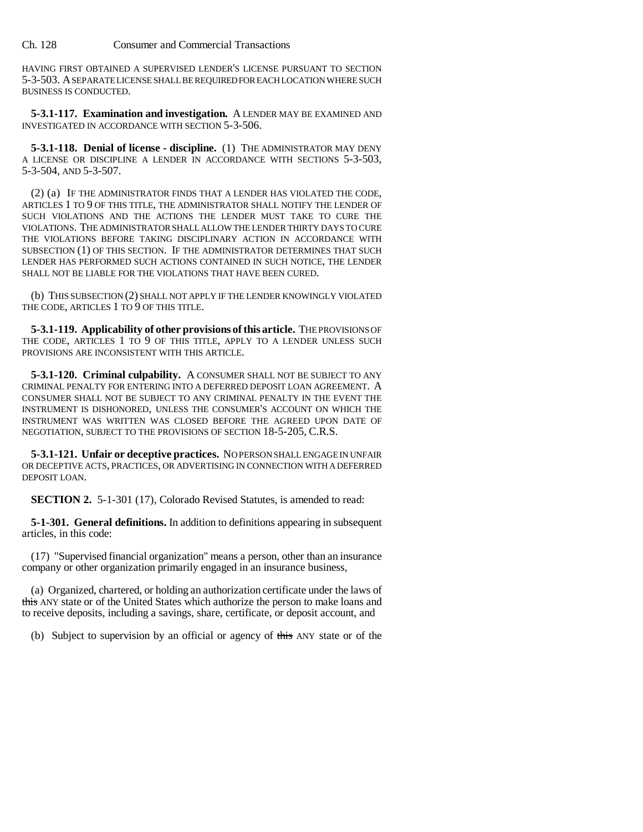Ch. 128 Consumer and Commercial Transactions

HAVING FIRST OBTAINED A SUPERVISED LENDER'S LICENSE PURSUANT TO SECTION 5-3-503. A SEPARATE LICENSE SHALL BE REQUIRED FOR EACH LOCATION WHERE SUCH BUSINESS IS CONDUCTED.

**5-3.1-117. Examination and investigation.** A LENDER MAY BE EXAMINED AND INVESTIGATED IN ACCORDANCE WITH SECTION 5-3-506.

**5-3.1-118. Denial of license - discipline.** (1) THE ADMINISTRATOR MAY DENY A LICENSE OR DISCIPLINE A LENDER IN ACCORDANCE WITH SECTIONS 5-3-503, 5-3-504, AND 5-3-507.

(2) (a) IF THE ADMINISTRATOR FINDS THAT A LENDER HAS VIOLATED THE CODE, ARTICLES 1 TO 9 OF THIS TITLE, THE ADMINISTRATOR SHALL NOTIFY THE LENDER OF SUCH VIOLATIONS AND THE ACTIONS THE LENDER MUST TAKE TO CURE THE VIOLATIONS. THE ADMINISTRATOR SHALL ALLOW THE LENDER THIRTY DAYS TO CURE THE VIOLATIONS BEFORE TAKING DISCIPLINARY ACTION IN ACCORDANCE WITH SUBSECTION (1) OF THIS SECTION. IF THE ADMINISTRATOR DETERMINES THAT SUCH LENDER HAS PERFORMED SUCH ACTIONS CONTAINED IN SUCH NOTICE, THE LENDER SHALL NOT BE LIABLE FOR THE VIOLATIONS THAT HAVE BEEN CURED.

(b) THIS SUBSECTION (2) SHALL NOT APPLY IF THE LENDER KNOWINGLY VIOLATED THE CODE, ARTICLES 1 TO 9 OF THIS TITLE.

**5-3.1-119. Applicability of other provisions of this article.** THE PROVISIONS OF THE CODE, ARTICLES 1 TO 9 OF THIS TITLE, APPLY TO A LENDER UNLESS SUCH PROVISIONS ARE INCONSISTENT WITH THIS ARTICLE.

**5-3.1-120. Criminal culpability.** A CONSUMER SHALL NOT BE SUBJECT TO ANY CRIMINAL PENALTY FOR ENTERING INTO A DEFERRED DEPOSIT LOAN AGREEMENT. A CONSUMER SHALL NOT BE SUBJECT TO ANY CRIMINAL PENALTY IN THE EVENT THE INSTRUMENT IS DISHONORED, UNLESS THE CONSUMER'S ACCOUNT ON WHICH THE INSTRUMENT WAS WRITTEN WAS CLOSED BEFORE THE AGREED UPON DATE OF NEGOTIATION, SUBJECT TO THE PROVISIONS OF SECTION 18-5-205, C.R.S.

**5-3.1-121. Unfair or deceptive practices.** NO PERSON SHALL ENGAGE IN UNFAIR OR DECEPTIVE ACTS, PRACTICES, OR ADVERTISING IN CONNECTION WITH A DEFERRED DEPOSIT LOAN.

**SECTION 2.** 5-1-301 (17), Colorado Revised Statutes, is amended to read:

**5-1-301. General definitions.** In addition to definitions appearing in subsequent articles, in this code:

(17) "Supervised financial organization" means a person, other than an insurance company or other organization primarily engaged in an insurance business,

(a) Organized, chartered, or holding an authorization certificate under the laws of this ANY state or of the United States which authorize the person to make loans and to receive deposits, including a savings, share, certificate, or deposit account, and

(b) Subject to supervision by an official or agency of this ANY state or of the